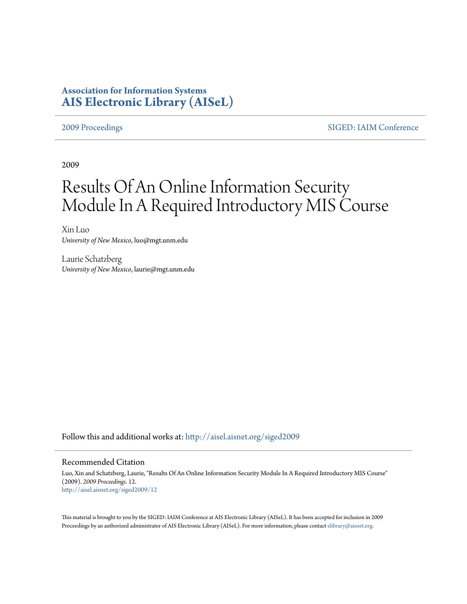# **Association for Information Systems [AIS Electronic Library \(AISeL\)](http://aisel.aisnet.org?utm_source=aisel.aisnet.org%2Fsiged2009%2F12&utm_medium=PDF&utm_campaign=PDFCoverPages)**

[2009 Proceedings](http://aisel.aisnet.org/siged2009?utm_source=aisel.aisnet.org%2Fsiged2009%2F12&utm_medium=PDF&utm_campaign=PDFCoverPages) [SIGED: IAIM Conference](http://aisel.aisnet.org/siged?utm_source=aisel.aisnet.org%2Fsiged2009%2F12&utm_medium=PDF&utm_campaign=PDFCoverPages)

2009

# Results Of An Online Information Security Module In A Required Introductory MIS Course

Xin Luo *University of New Mexico*, luo@mgt.unm.edu

Laurie Schatzberg *University of New Mexico*, laurie@mgt.unm.edu

Follow this and additional works at: [http://aisel.aisnet.org/siged2009](http://aisel.aisnet.org/siged2009?utm_source=aisel.aisnet.org%2Fsiged2009%2F12&utm_medium=PDF&utm_campaign=PDFCoverPages)

#### Recommended Citation

Luo, Xin and Schatzberg, Laurie, "Results Of An Online Information Security Module In A Required Introductory MIS Course" (2009). *2009 Proceedings*. 12. [http://aisel.aisnet.org/siged2009/12](http://aisel.aisnet.org/siged2009/12?utm_source=aisel.aisnet.org%2Fsiged2009%2F12&utm_medium=PDF&utm_campaign=PDFCoverPages)

This material is brought to you by the SIGED: IAIM Conference at AIS Electronic Library (AISeL). It has been accepted for inclusion in 2009 Proceedings by an authorized administrator of AIS Electronic Library (AISeL). For more information, please contact [elibrary@aisnet.org](mailto:elibrary@aisnet.org%3E).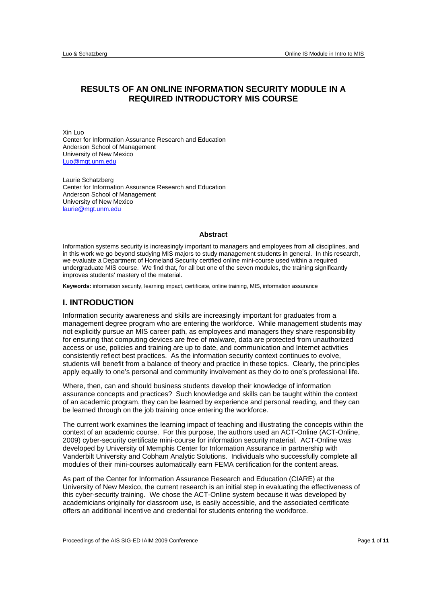# **RESULTS OF AN ONLINE INFORMATION SECURITY MODULE IN A REQUIRED INTRODUCTORY MIS COURSE**

Xin Luo Center for Information Assurance Research and Education Anderson School of Management University of New Mexico Luo@mgt.unm.edu

Laurie Schatzberg Center for Information Assurance Research and Education Anderson School of Management University of New Mexico laurie@mgt.unm.edu

#### **Abstract**

Information systems security is increasingly important to managers and employees from all disciplines, and in this work we go beyond studying MIS majors to study management students in general. In this research, we evaluate a Department of Homeland Security certified online mini-course used within a required undergraduate MIS course. We find that, for all but one of the seven modules, the training significantly improves students' mastery of the material.

**Keywords:** information security, learning impact, certificate, online training, MIS, information assurance

#### **I. INTRODUCTION**

Information security awareness and skills are increasingly important for graduates from a management degree program who are entering the workforce. While management students may not explicitly pursue an MIS career path, as employees and managers they share responsibility for ensuring that computing devices are free of malware, data are protected from unauthorized access or use, policies and training are up to date, and communication and Internet activities consistently reflect best practices. As the information security context continues to evolve, students will benefit from a balance of theory and practice in these topics. Clearly, the principles apply equally to one's personal and community involvement as they do to one's professional life.

Where, then, can and should business students develop their knowledge of information assurance concepts and practices? Such knowledge and skills can be taught within the context of an academic program, they can be learned by experience and personal reading, and they can be learned through on the job training once entering the workforce.

The current work examines the learning impact of teaching and illustrating the concepts within the context of an academic course. For this purpose, the authors used an ACT-Online (ACT-Online, 2009) cyber-security certificate mini-course for information security material. ACT-Online was developed by University of Memphis Center for Information Assurance in partnership with Vanderbilt University and Cobham Analytic Solutions. Individuals who successfully complete all modules of their mini-courses automatically earn FEMA certification for the content areas.

As part of the Center for Information Assurance Research and Education (CIARE) at the University of New Mexico, the current research is an initial step in evaluating the effectiveness of this cyber-security training. We chose the ACT-Online system because it was developed by academicians originally for classroom use, is easily accessible, and the associated certificate offers an additional incentive and credential for students entering the workforce.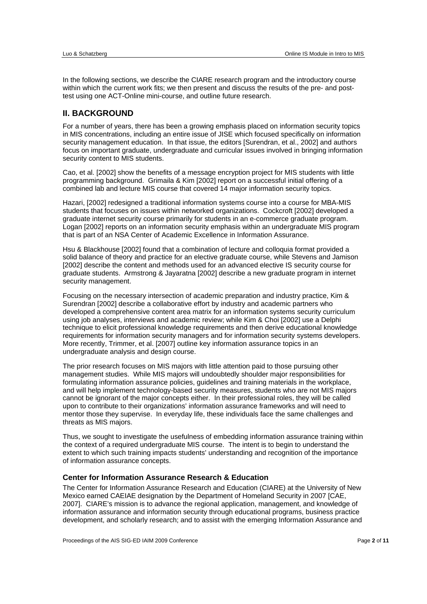In the following sections, we describe the CIARE research program and the introductory course within which the current work fits; we then present and discuss the results of the pre- and posttest using one ACT-Online mini-course, and outline future research.

# **II. BACKGROUND**

For a number of years, there has been a growing emphasis placed on information security topics in MIS concentrations, including an entire issue of JISE which focused specifically on information security management education. In that issue, the editors [Surendran, et al., 2002] and authors focus on important graduate, undergraduate and curricular issues involved in bringing information security content to MIS students.

Cao, et al. [2002] show the benefits of a message encryption project for MIS students with little programming background. Grimaila & Kim [2002] report on a successful initial offering of a combined lab and lecture MIS course that covered 14 major information security topics.

Hazari, [2002] redesigned a traditional information systems course into a course for MBA-MIS students that focuses on issues within networked organizations. Cockcroft [2002] developed a graduate internet security course primarily for students in an e-commerce graduate program. Logan [2002] reports on an information security emphasis within an undergraduate MIS program that is part of an NSA Center of Academic Excellence in Information Assurance.

Hsu & Blackhouse [2002] found that a combination of lecture and colloquia format provided a solid balance of theory and practice for an elective graduate course, while Stevens and Jamison [2002] describe the content and methods used for an advanced elective IS security course for graduate students. Armstrong & Jayaratna [2002] describe a new graduate program in internet security management.

Focusing on the necessary intersection of academic preparation and industry practice, Kim & Surendran [2002] describe a collaborative effort by industry and academic partners who developed a comprehensive content area matrix for an information systems security curriculum using job analyses, interviews and academic review; while Kim & Choi [2002] use a Delphi technique to elicit professional knowledge requirements and then derive educational knowledge requirements for information security managers and for information security systems developers. More recently, Trimmer, et al. [2007] outline key information assurance topics in an undergraduate analysis and design course.

The prior research focuses on MIS majors with little attention paid to those pursuing other management studies. While MIS majors will undoubtedly shoulder major responsibilities for formulating information assurance policies, guidelines and training materials in the workplace, and will help implement technology-based security measures, students who are not MIS majors cannot be ignorant of the major concepts either. In their professional roles, they will be called upon to contribute to their organizations' information assurance frameworks and will need to mentor those they supervise. In everyday life, these individuals face the same challenges and threats as MIS majors.

Thus, we sought to investigate the usefulness of embedding information assurance training within the context of a required undergraduate MIS course. The intent is to begin to understand the extent to which such training impacts students' understanding and recognition of the importance of information assurance concepts.

#### **Center for Information Assurance Research & Education**

The Center for Information Assurance Research and Education (CIARE) at the University of New Mexico earned CAEIAE designation by the Department of Homeland Security in 2007 [CAE, 2007]. CIARE's mission is to advance the regional application, management, and knowledge of information assurance and information security through educational programs, business practice development, and scholarly research; and to assist with the emerging Information Assurance and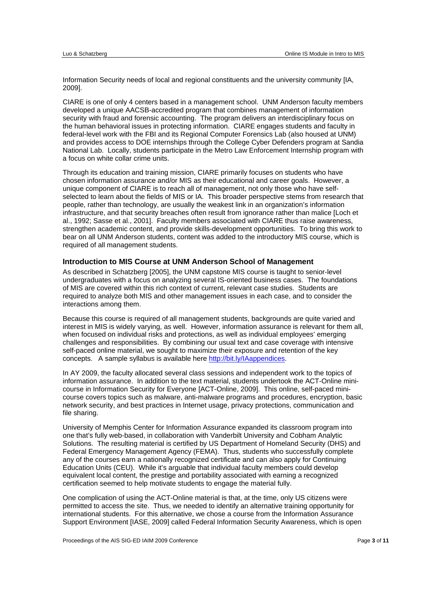Information Security needs of local and regional constituents and the university community [IA, 2009].

CIARE is one of only 4 centers based in a management school. UNM Anderson faculty members developed a unique AACSB-accredited program that combines management of information security with fraud and forensic accounting. The program delivers an interdisciplinary focus on the human behavioral issues in protecting information. CIARE engages students and faculty in federal-level work with the FBI and its Regional Computer Forensics Lab (also housed at UNM) and provides access to DOE internships through the College Cyber Defenders program at Sandia National Lab. Locally, students participate in the Metro Law Enforcement Internship program with a focus on white collar crime units.

Through its education and training mission, CIARE primarily focuses on students who have chosen information assurance and/or MIS as their educational and career goals. However, a unique component of CIARE is to reach all of management, not only those who have selfselected to learn about the fields of MIS or IA. This broader perspective stems from research that people, rather than technology, are usually the weakest link in an organization's information infrastructure, and that security breaches often result from ignorance rather than malice [Loch et al., 1992; Sasse et al., 2001]. Faculty members associated with CIARE thus raise awareness, strengthen academic content, and provide skills-development opportunities. To bring this work to bear on all UNM Anderson students, content was added to the introductory MIS course, which is required of all management students.

#### **Introduction to MIS Course at UNM Anderson School of Management**

As described in Schatzberg [2005], the UNM capstone MIS course is taught to senior-level undergraduates with a focus on analyzing several IS-oriented business cases. The foundations of MIS are covered within this rich context of current, relevant case studies. Students are required to analyze both MIS and other management issues in each case, and to consider the interactions among them.

Because this course is required of all management students, backgrounds are quite varied and interest in MIS is widely varying, as well. However, information assurance is relevant for them all, when focused on individual risks and protections, as well as individual employees' emerging challenges and responsibilities. By combining our usual text and case coverage with intensive self-paced online material, we sought to maximize their exposure and retention of the key concepts. A sample syllabus is available here http://bit.ly/IAappendices.

In AY 2009, the faculty allocated several class sessions and independent work to the topics of information assurance. In addition to the text material, students undertook the ACT-Online minicourse in Information Security for Everyone [ACT-Online, 2009]. This online, self-paced minicourse covers topics such as malware, anti-malware programs and procedures, encryption, basic network security, and best practices in Internet usage, privacy protections, communication and file sharing.

University of Memphis Center for Information Assurance expanded its classroom program into one that's fully web-based, in collaboration with Vanderbilt University and Cobham Analytic Solutions. The resulting material is certified by US Department of Homeland Security (DHS) and Federal Emergency Management Agency (FEMA). Thus, students who successfully complete any of the courses earn a nationally recognized certificate and can also apply for Continuing Education Units (CEU). While it's arguable that individual faculty members could develop equivalent local content, the prestige and portability associated with earning a recognized certification seemed to help motivate students to engage the material fully.

One complication of using the ACT-Online material is that, at the time, only US citizens were permitted to access the site. Thus, we needed to identify an alternative training opportunity for international students. For this alternative, we chose a course from the Information Assurance Support Environment [IASE, 2009] called Federal Information Security Awareness, which is open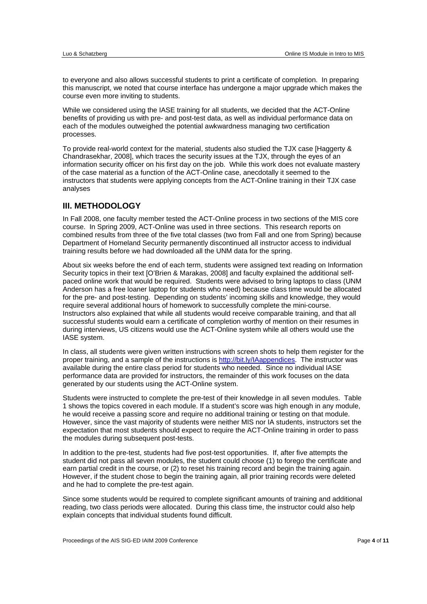to everyone and also allows successful students to print a certificate of completion. In preparing this manuscript, we noted that course interface has undergone a major upgrade which makes the course even more inviting to students.

While we considered using the IASE training for all students, we decided that the ACT-Online benefits of providing us with pre- and post-test data, as well as individual performance data on each of the modules outweighed the potential awkwardness managing two certification processes.

To provide real-world context for the material, students also studied the TJX case [Haggerty & Chandrasekhar, 2008], which traces the security issues at the TJX, through the eyes of an information security officer on his first day on the job. While this work does not evaluate mastery of the case material as a function of the ACT-Online case, anecdotally it seemed to the instructors that students were applying concepts from the ACT-Online training in their TJX case analyses

# **III. METHODOLOGY**

In Fall 2008, one faculty member tested the ACT-Online process in two sections of the MIS core course. In Spring 2009, ACT-Online was used in three sections. This research reports on combined results from three of the five total classes (two from Fall and one from Spring) because Department of Homeland Security permanently discontinued all instructor access to individual training results before we had downloaded all the UNM data for the spring.

About six weeks before the end of each term, students were assigned text reading on Information Security topics in their text [O'Brien & Marakas, 2008] and faculty explained the additional selfpaced online work that would be required. Students were advised to bring laptops to class (UNM Anderson has a free loaner laptop for students who need) because class time would be allocated for the pre- and post-testing. Depending on students' incoming skills and knowledge, they would require several additional hours of homework to successfully complete the mini-course. Instructors also explained that while all students would receive comparable training, and that all successful students would earn a certificate of completion worthy of mention on their resumes in during interviews, US citizens would use the ACT-Online system while all others would use the IASE system.

In class, all students were given written instructions with screen shots to help them register for the proper training, and a sample of the instructions is http://bit.ly/IAappendices. The instructor was available during the entire class period for students who needed. Since no individual IASE performance data are provided for instructors, the remainder of this work focuses on the data generated by our students using the ACT-Online system.

Students were instructed to complete the pre-test of their knowledge in all seven modules. Table 1 shows the topics covered in each module. If a student's score was high enough in any module, he would receive a passing score and require no additional training or testing on that module. However, since the vast majority of students were neither MIS nor IA students, instructors set the expectation that most students should expect to require the ACT-Online training in order to pass the modules during subsequent post-tests.

In addition to the pre-test, students had five post-test opportunities. If, after five attempts the student did not pass all seven modules, the student could choose (1) to forego the certificate and earn partial credit in the course, or (2) to reset his training record and begin the training again. However, if the student chose to begin the training again, all prior training records were deleted and he had to complete the pre-test again.

Since some students would be required to complete significant amounts of training and additional reading, two class periods were allocated. During this class time, the instructor could also help explain concepts that individual students found difficult.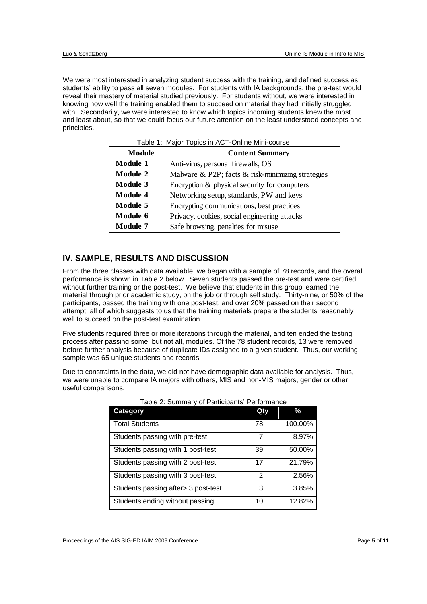We were most interested in analyzing student success with the training, and defined success as students' ability to pass all seven modules. For students with IA backgrounds, the pre-test would reveal their mastery of material studied previously. For students without, we were interested in knowing how well the training enabled them to succeed on material they had initially struggled with. Secondarily, we were interested to know which topics incoming students knew the most and least about, so that we could focus our future attention on the least understood concepts and principles.

Table 1: Major Topics in ACT-Online Mini-course

| Module          | <b>Content Summary</b>                            |
|-----------------|---------------------------------------------------|
| <b>Module 1</b> | Anti-virus, personal firewalls, OS                |
| Module 2        | Malware & P2P; facts & risk-minimizing strategies |
| <b>Module 3</b> | Encryption & physical security for computers      |
| <b>Module 4</b> | Networking setup, standards, PW and keys          |
| Module 5        | Encrypting communications, best practices         |
| Module 6        | Privacy, cookies, social engineering attacks      |
| Module 7        | Safe browsing, penalties for misuse               |

# **IV. SAMPLE, RESULTS AND DISCUSSION**

From the three classes with data available, we began with a sample of 78 records, and the overall performance is shown in Table 2 below. Seven students passed the pre-test and were certified without further training or the post-test. We believe that students in this group learned the material through prior academic study, on the job or through self study. Thirty-nine, or 50% of the participants, passed the training with one post-test, and over 20% passed on their second attempt, all of which suggests to us that the training materials prepare the students reasonably well to succeed on the post-test examination.

Five students required three or more iterations through the material, and ten ended the testing process after passing some, but not all, modules. Of the 78 student records, 13 were removed before further analysis because of duplicate IDs assigned to a given student. Thus, our working sample was 65 unique students and records.

Due to constraints in the data, we did not have demographic data available for analysis. Thus, we were unable to compare IA majors with others, MIS and non-MIS majors, gender or other useful comparisons.

| <b>Category</b>                     | Qty | %       |
|-------------------------------------|-----|---------|
| <b>Total Students</b>               | 78  | 100.00% |
| Students passing with pre-test      | 7   | 8.97%   |
| Students passing with 1 post-test   | 39  | 50.00%  |
| Students passing with 2 post-test   | 17  | 21.79%  |
| Students passing with 3 post-test   | 2   | 2.56%   |
| Students passing after> 3 post-test | 3   | 3.85%   |
| Students ending without passing     | 10  | 12.82%  |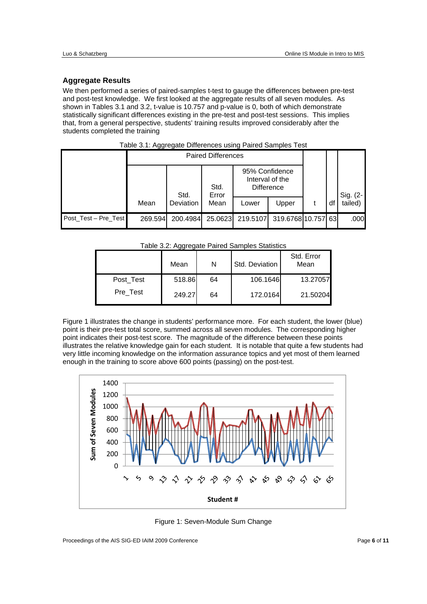#### **Aggregate Results**

We then performed a series of paired-samples t-test to gauge the differences between pre-test and post-test knowledge. We first looked at the aggregate results of all seven modules. As shown in Tables 3.1 and 3.2, t-value is 10.757 and p-value is 0, both of which demonstrate statistically significant differences existing in the pre-test and post-test sessions. This implies that, from a general perspective, students' training results improved considerably after the students completed the training

|                      | <b>Paired Differences</b> |           |               |                                                        |                 |    |          |
|----------------------|---------------------------|-----------|---------------|--------------------------------------------------------|-----------------|----|----------|
|                      |                           | Std.      | Std.<br>Error | 95% Confidence<br>Interval of the<br><b>Difference</b> |                 |    | Sig. (2- |
|                      | Mean                      | Deviation | Mean          | Lower                                                  | Upper           | df | tailed)  |
| Post_Test - Pre_Test | 269.594                   | 200.4984  | 25.0623       | 219.5107                                               | 319.6768 10.757 | 63 | .000     |

#### Table 3.1: Aggregate Differences using Paired Samples Test

Table 3.2: Aggregate Paired Samples Statistics

| . 2.2.2.1.7.9.9.2.3.0 |        |    |                |                    |  |  |  |
|-----------------------|--------|----|----------------|--------------------|--|--|--|
|                       | Mean   | N  | Std. Deviation | Std. Error<br>Mean |  |  |  |
| Post Test<br>Pre Test | 518.86 | 64 | 106.1646       | 13.27057           |  |  |  |
|                       | 249.27 | 64 | 172.0164       | 21.50204           |  |  |  |

Figure 1 illustrates the change in students' performance more. For each student, the lower (blue) point is their pre-test total score, summed across all seven modules. The corresponding higher point indicates their post-test score. The magnitude of the difference between these points illustrates the relative knowledge gain for each student. It is notable that quite a few students had very little incoming knowledge on the information assurance topics and yet most of them learned enough in the training to score above 600 points (passing) on the post-test.



Figure 1: Seven-Module Sum Change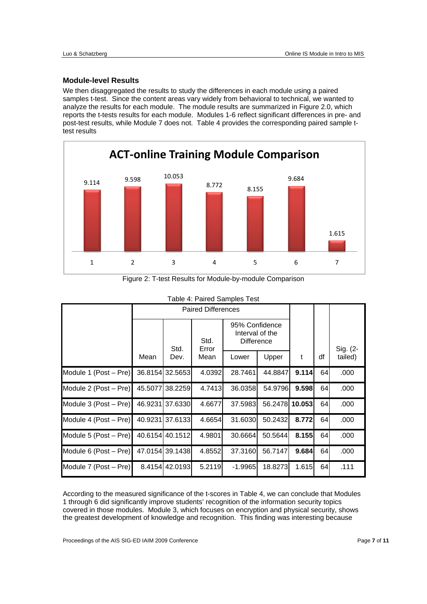#### **Module-level Results**

We then disaggregated the results to study the differences in each module using a paired samples t-test. Since the content areas vary widely from behavioral to technical, we wanted to analyze the results for each module. The module results are summarized in Figure 2.0, which reports the t-tests results for each module. Modules 1-6 reflect significant differences in pre- and post-test results, while Module 7 does not. Table 4 provides the corresponding paired sample ttest results



| Table +. Talled Samples Test |                           |                 |               |                                                        |         |        |    |          |
|------------------------------|---------------------------|-----------------|---------------|--------------------------------------------------------|---------|--------|----|----------|
|                              | <b>Paired Differences</b> |                 |               |                                                        |         |        |    |          |
|                              |                           | Std.            | Std.<br>Error | 95% Confidence<br>Interval of the<br><b>Difference</b> |         |        |    | Sig. (2- |
|                              | Mean                      | Dev.            | Mean          | Lower                                                  | Upper   | t      | df | tailed)  |
| Module 1 (Post - Pre)        |                           | 36.8154 32.5653 | 4.0392        | 28.7461                                                | 44.8847 | 9.114  | 64 | .000     |
| Module 2 (Post – Pre)        |                           | 45.5077 38.2259 | 4.7413        | 36.0358                                                | 54.9796 | 9.598  | 64 | .000     |
| Module 3 (Post - Pre)        |                           | 46.9231 37.6330 | 4.6677        | 37.5983                                                | 56.2478 | 10.053 | 64 | .000     |
| Module 4 (Post – Pre)        |                           | 40.9231 37.6133 | 4.6654        | 31.6030                                                | 50.2432 | 8.772  | 64 | .000     |
| Module 5 (Post - Pre)        |                           | 40.6154 40.1512 | 4.9801        | 30.6664                                                | 50.5644 | 8.155  | 64 | .000     |
| Module 6 (Post – Pre)        |                           | 47.0154 39.1438 | 4.8552        | 37.3160                                                | 56.7147 | 9.684  | 64 | .000     |
| Module 7 (Post – Pre)        |                           | 8.4154 42.0193  | 5.2119        | $-1.9965$                                              | 18.8273 | 1.615  | 64 | .111     |

# Figure 2: T-test Results for Module-by-module Comparison

# Table 4: Paired Samples Test

According to the measured significance of the t-scores in Table 4, we can conclude that Modules 1 through 6 did significantly improve students' recognition of the information security topics covered in those modules. Module 3, which focuses on encryption and physical security, shows the greatest development of knowledge and recognition. This finding was interesting because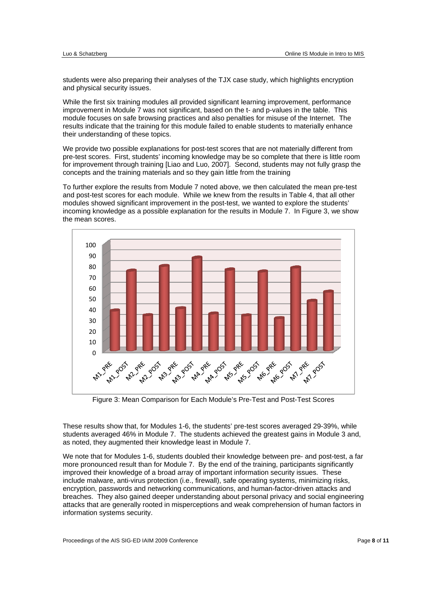students were also preparing their analyses of the TJX case study, which highlights encryption and physical security issues.

While the first six training modules all provided significant learning improvement, performance improvement in Module 7 was not significant, based on the t- and p-values in the table. This module focuses on safe browsing practices and also penalties for misuse of the Internet. The results indicate that the training for this module failed to enable students to materially enhance their understanding of these topics.

We provide two possible explanations for post-test scores that are not materially different from pre-test scores. First, students' incoming knowledge may be so complete that there is little room for improvement through training [Liao and Luo, 2007]. Second, students may not fully grasp the concepts and the training materials and so they gain little from the training

To further explore the results from Module 7 noted above, we then calculated the mean pre-test and post-test scores for each module. While we knew from the results in Table 4, that all other modules showed significant improvement in the post-test, we wanted to explore the students' incoming knowledge as a possible explanation for the results in Module 7. In Figure 3, we show the mean scores.



Figure 3: Mean Comparison for Each Module's Pre-Test and Post-Test Scores

These results show that, for Modules 1-6, the students' pre-test scores averaged 29-39%, while students averaged 46% in Module 7. The students achieved the greatest gains in Module 3 and, as noted, they augmented their knowledge least in Module 7.

We note that for Modules 1-6, students doubled their knowledge between pre- and post-test, a far more pronounced result than for Module 7. By the end of the training, participants significantly improved their knowledge of a broad array of important information security issues. These include malware, anti-virus protection (i.e., firewall), safe operating systems, minimizing risks, encryption, passwords and networking communications, and human-factor-driven attacks and breaches. They also gained deeper understanding about personal privacy and social engineering attacks that are generally rooted in misperceptions and weak comprehension of human factors in information systems security.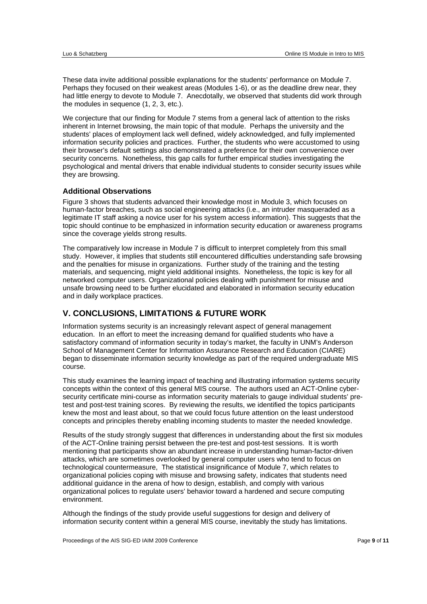These data invite additional possible explanations for the students' performance on Module 7. Perhaps they focused on their weakest areas (Modules 1-6), or as the deadline drew near, they had little energy to devote to Module 7. Anecdotally, we observed that students did work through the modules in sequence (1, 2, 3, etc.).

We conjecture that our finding for Module 7 stems from a general lack of attention to the risks inherent in Internet browsing, the main topic of that module. Perhaps the university and the students' places of employment lack well defined, widely acknowledged, and fully implemented information security policies and practices. Further, the students who were accustomed to using their browser's default settings also demonstrated a preference for their own convenience over security concerns. Nonetheless, this gap calls for further empirical studies investigating the psychological and mental drivers that enable individual students to consider security issues while they are browsing.

#### **Additional Observations**

Figure 3 shows that students advanced their knowledge most in Module 3, which focuses on human-factor breaches, such as social engineering attacks (i.e., an intruder masqueraded as a legitimate IT staff asking a novice user for his system access information). This suggests that the topic should continue to be emphasized in information security education or awareness programs since the coverage yields strong results.

The comparatively low increase in Module 7 is difficult to interpret completely from this small study. However, it implies that students still encountered difficulties understanding safe browsing and the penalties for misuse in organizations. Further study of the training and the testing materials, and sequencing, might yield additional insights. Nonetheless, the topic is key for all networked computer users. Organizational policies dealing with punishment for misuse and unsafe browsing need to be further elucidated and elaborated in information security education and in daily workplace practices.

# **V. CONCLUSIONS, LIMITATIONS & FUTURE WORK**

Information systems security is an increasingly relevant aspect of general management education. In an effort to meet the increasing demand for qualified students who have a satisfactory command of information security in today's market, the faculty in UNM's Anderson School of Management Center for Information Assurance Research and Education (CIARE) began to disseminate information security knowledge as part of the required undergraduate MIS course.

This study examines the learning impact of teaching and illustrating information systems security concepts within the context of this general MIS course. The authors used an ACT-Online cybersecurity certificate mini-course as information security materials to gauge individual students' pretest and post-test training scores. By reviewing the results, we identified the topics participants knew the most and least about, so that we could focus future attention on the least understood concepts and principles thereby enabling incoming students to master the needed knowledge.

Results of the study strongly suggest that differences in understanding about the first six modules of the ACT-Online training persist between the pre-test and post-test sessions. It is worth mentioning that participants show an abundant increase in understanding human-factor-driven attacks, which are sometimes overlooked by general computer users who tend to focus on technological countermeasure, The statistical insignificance of Module 7, which relates to organizational policies coping with misuse and browsing safety, indicates that students need additional guidance in the arena of how to design, establish, and comply with various organizational polices to regulate users' behavior toward a hardened and secure computing environment.

Although the findings of the study provide useful suggestions for design and delivery of information security content within a general MIS course, inevitably the study has limitations.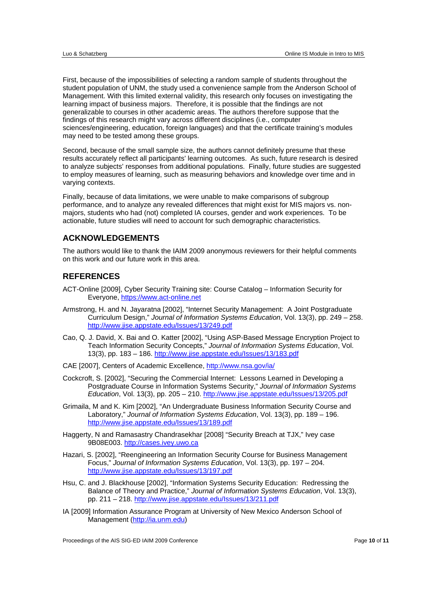First, because of the impossibilities of selecting a random sample of students throughout the student population of UNM, the study used a convenience sample from the Anderson School of Management. With this limited external validity, this research only focuses on investigating the learning impact of business majors. Therefore, it is possible that the findings are not generalizable to courses in other academic areas. The authors therefore suppose that the findings of this research might vary across different disciplines (i.e., computer sciences/engineering, education, foreign languages) and that the certificate training's modules may need to be tested among these groups.

Second, because of the small sample size, the authors cannot definitely presume that these results accurately reflect all participants' learning outcomes. As such, future research is desired to analyze subjects' responses from additional populations. Finally, future studies are suggested to employ measures of learning, such as measuring behaviors and knowledge over time and in varying contexts.

Finally, because of data limitations, we were unable to make comparisons of subgroup performance, and to analyze any revealed differences that might exist for MIS majors vs. nonmajors, students who had (not) completed IA courses, gender and work experiences. To be actionable, future studies will need to account for such demographic characteristics.

# **ACKNOWLEDGEMENTS**

The authors would like to thank the IAIM 2009 anonymous reviewers for their helpful comments on this work and our future work in this area.

# **REFERENCES**

- ACT-Online [2009], Cyber Security Training site: Course Catalog Information Security for Everyone, https://www.act-online.net
- Armstrong, H. and N. Jayaratna [2002], "Internet Security Management: A Joint Postgraduate Curriculum Design," *Journal of Information Systems Education*, Vol. 13(3), pp. 249 – 258. http://www.jise.appstate.edu/Issues/13/249.pdf
- Cao, Q. J. David, X. Bai and O. Katter [2002], "Using ASP-Based Message Encryption Project to Teach Information Security Concepts," *Journal of Information Systems Education*, Vol. 13(3), pp. 183 – 186. http://www.jise.appstate.edu/Issues/13/183.pdf
- CAE [2007], Centers of Academic Excellence, http://www.nsa.gov/ia/
- Cockcroft, S. [2002], "Securing the Commercial Internet: Lessons Learned in Developing a Postgraduate Course in Information Systems Security," *Journal of Information Systems Education*, Vol. 13(3), pp. 205 – 210. http://www.jise.appstate.edu/Issues/13/205.pdf
- Grimaila, M and K. Kim [2002], "An Undergraduate Business Information Security Course and Laboratory," *Journal of Information Systems Education*, Vol. 13(3), pp. 189 – 196. http://www.jise.appstate.edu/Issues/13/189.pdf
- Haggerty, N and Ramasastry Chandrasekhar [2008] "Security Breach at TJX," Ivey case 9B08E003. http://cases.ivey.uwo.ca
- Hazari, S. [2002], "Reengineering an Information Security Course for Business Management Focus," *Journal of Information Systems Education*, Vol. 13(3), pp. 197 – 204. http://www.jise.appstate.edu/Issues/13/197.pdf
- Hsu, C. and J. Blackhouse [2002], "Information Systems Security Education: Redressing the Balance of Theory and Practice," *Journal of Information Systems Education*, Vol. 13(3), pp. 211 – 218. http://www.jise.appstate.edu/Issues/13/211.pdf
- IA [2009] Information Assurance Program at University of New Mexico Anderson School of Management (http://ia.unm.edu)

Proceedings of the AIS SIG-FD IAIM 2009 Conference **Page 10** of **11** Proceedings of the AIS SIG-FD IAIM 2009 Conference